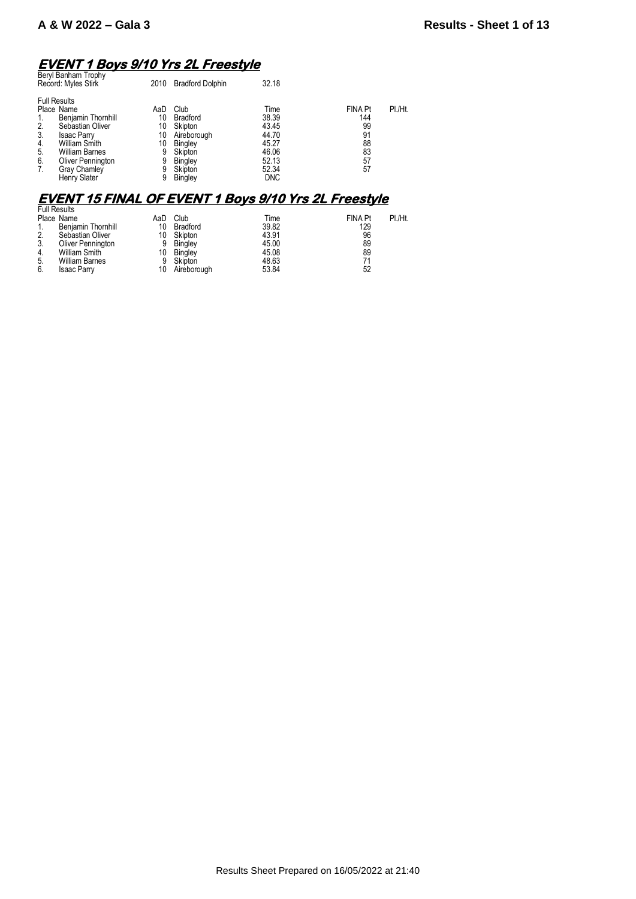## **EVENT 1 Boys 9/10 Yrs 2L Freestyle**

| Beryl Banham Trophy<br>Record: Myles Stirk                                                                                                                   |                                                             | 2010                                       | <b>Bradford Dolphin</b>                                                                       | 32.18                                                               |                                                           |         |
|--------------------------------------------------------------------------------------------------------------------------------------------------------------|-------------------------------------------------------------|--------------------------------------------|-----------------------------------------------------------------------------------------------|---------------------------------------------------------------------|-----------------------------------------------------------|---------|
| <b>Full Results</b><br>Place Name<br>2.<br>3.<br><b>Isaac Parry</b><br><b>William Smith</b><br>4.<br>5.<br><b>William Barnes</b><br>6.<br>Gray Chamley<br>7. | Benjamin Thornhill<br>Sebastian Oliver<br>Oliver Pennington | AaD<br>10<br>10<br>10<br>10<br>9<br>9<br>9 | Club<br><b>Bradford</b><br>Skipton<br>Aireborough<br>Bingley<br>Skipton<br>Bingley<br>Skipton | Time<br>38.39<br>43.45<br>44.70<br>45.27<br>46.06<br>52.13<br>52.34 | <b>FINA Pt</b><br>144<br>99<br>91<br>88<br>83<br>57<br>57 | PI./Ht. |
| Henry Slater                                                                                                                                                 |                                                             | 9                                          | <b>Bingley</b>                                                                                | <b>DNC</b>                                                          |                                                           |         |

# **EVENT 15 FINAL OF EVENT 1 Boys 9/10 Yrs 2L Freestyle**  Full Results

|     | <b>Full Results</b>   |     |                |       |                |         |
|-----|-----------------------|-----|----------------|-------|----------------|---------|
|     | Place Name            | AaD | Club           | Time  | <b>FINA Pt</b> | PI./Ht. |
|     | Benjamin Thornhill    | 10  | Bradford       | 39.82 | 129            |         |
| 2.  | Sebastian Oliver      | 10  | Skipton        | 43.91 | 96             |         |
| 3.  | Oliver Pennington     | 9   | Bingley        | 45.00 | 89             |         |
| -4. | William Smith         | 10  | <b>Bingley</b> | 45.08 | 89             |         |
| 5.  | <b>William Barnes</b> | 9   | Skipton        | 48.63 | 71             |         |
| 6.  | <b>Isaac Parry</b>    | 10  | Aireborough    | 53.84 | 52             |         |
|     |                       |     |                |       |                |         |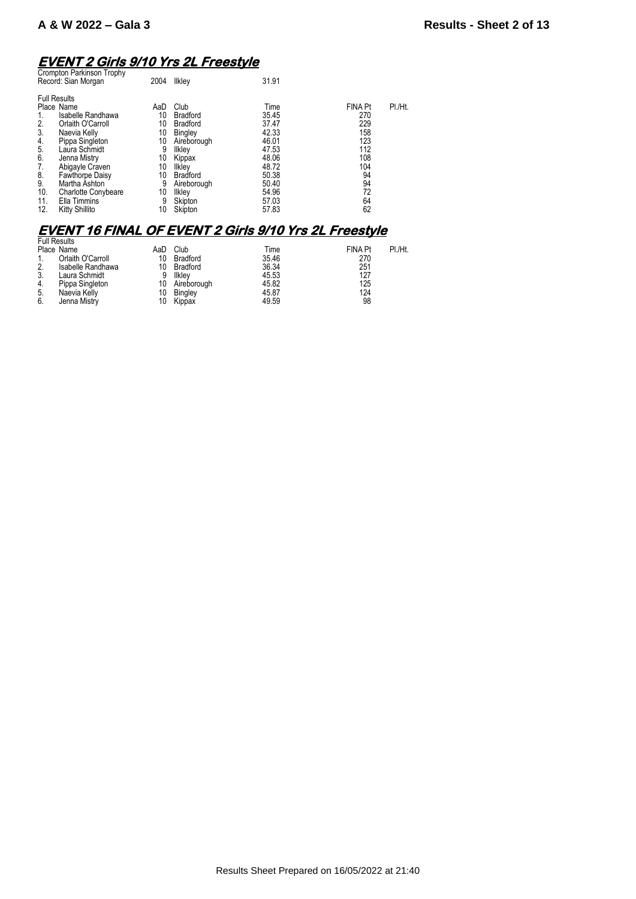# **EVENT 2 Girls 9/10 Yrs 2L Freestyle**  Crompton Parkinson Trophy

| Giunpiun Fannisun Tiuphy<br>Record: Sian Morgan | 2004 | Ilkley          | 31.91 |                |         |
|-------------------------------------------------|------|-----------------|-------|----------------|---------|
| <b>Full Results</b>                             |      |                 |       |                |         |
| Place Name                                      | AaD  | Club            | Time  | <b>FINA Pt</b> | PI./Ht. |
| Isabelle Randhawa                               | 10   | <b>Bradford</b> | 35.45 | 270            |         |
| Orlaith O'Carroll<br>2.                         | 10   | <b>Bradford</b> | 37.47 | 229            |         |
| 3.<br>Naevia Kelly                              | 10   | Bingley         | 42.33 | 158            |         |
| Pippa Singleton<br>4.                           | 10   | Aireborough     | 46.01 | 123            |         |
| 5.<br>Laura Schmidt                             | 9    | Ilkley          | 47.53 | 112            |         |
| 6.<br>Jenna Mistry                              | 10   | Kippax          | 48.06 | 108            |         |
| Abigayle Craven<br>7.                           | 10   | Ilklev          | 48.72 | 104            |         |
| 8.<br><b>Fawthorpe Daisy</b>                    | 10   | <b>Bradford</b> | 50.38 | 94             |         |
| 9.<br>Martha Ashton                             | 9    | Aireborough     | 50.40 | 94             |         |
| 10.<br><b>Charlotte Conybeare</b>               | 10   | Ilkley          | 54.96 | 72             |         |
| Ella Timmins<br>11.                             | 9    | Skipton         | 57.03 | 64             |         |
| 12.<br>Kitty Shillito                           | 10   | Skipton         | 57.83 | 62             |         |
|                                                 |      |                 |       |                |         |

# **EVENT 16 FINAL OF EVENT 2 Girls 9/10 Yrs 2L Freestyle**  Full Results

|    | Full Results      |     |                 |       |                |         |
|----|-------------------|-----|-----------------|-------|----------------|---------|
|    | Place Name        | AaD | Club            | Time  | <b>FINA Pt</b> | PI./Ht. |
|    | Orlaith O'Carroll | 10  | <b>Bradford</b> | 35.46 | 270            |         |
| 2. | Isabelle Randhawa | 10  | Bradford        | 36.34 | 251            |         |
| 3. | Laura Schmidt     | 9   | llklev          | 45.53 | 127            |         |
| 4. | Pippa Singleton   | 10  | Aireborough     | 45.82 | 125            |         |
| 5. | Naevia Kelly      | 10  | Bingley         | 45.87 | 124            |         |
| 6. | Jenna Mistry      | 10  | Kippax          | 49.59 | 98             |         |
|    |                   |     |                 |       |                |         |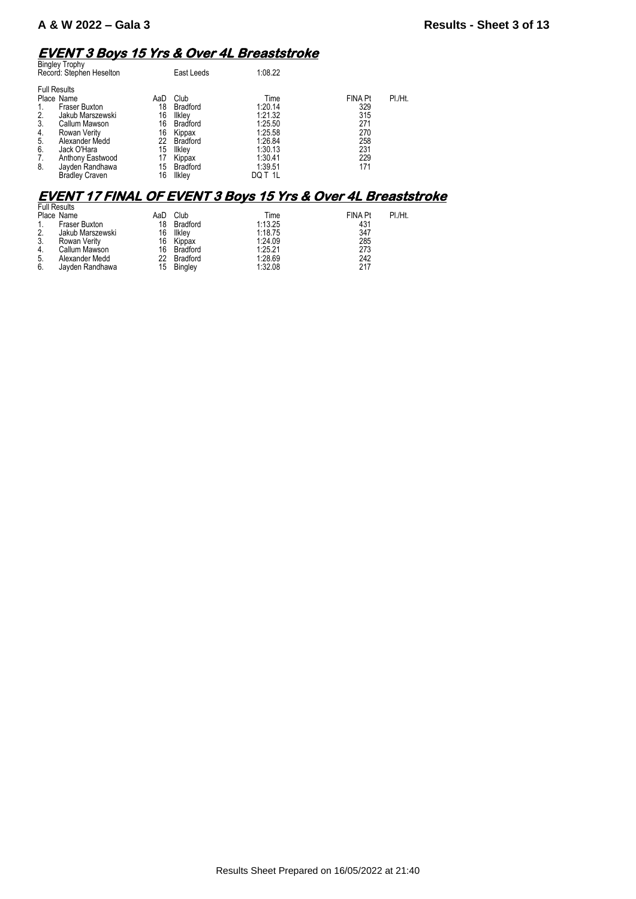## **EVENT 3 Boys 15 Yrs & Over 4L Breaststroke**

|    | <b>Bingley Trophy</b><br>Record: Stephen Heselton |     | East Leeds      | 1:08.22 |                |         |
|----|---------------------------------------------------|-----|-----------------|---------|----------------|---------|
|    | <b>Full Results</b>                               |     |                 |         |                |         |
|    | Place Name                                        | AaD | Club            | Time    | <b>FINA Pt</b> | PI./Ht. |
|    | Fraser Buxton                                     | 18  | <b>Bradford</b> | 1:20.14 | 329            |         |
| 2. | Jakub Marszewski                                  | 16  | Ilkley          | 1:21.32 | 315            |         |
| 3. | Callum Mawson                                     | 16  | <b>Bradford</b> | 1:25.50 | 271            |         |
| 4. | Rowan Verity                                      | 16  | Kippax          | 1:25.58 | 270            |         |
| 5. | Alexander Medd                                    | 22  | <b>Bradford</b> | 1:26.84 | 258            |         |
| 6. | Jack O'Hara                                       | 15  | <b>Ilkley</b>   | 1:30.13 | 231            |         |
| 7. | Anthony Eastwood                                  | 17  | Kippax          | 1:30.41 | 229            |         |
| 8. | Jayden Randhawa                                   | 15  | <b>Bradford</b> | 1:39.51 | 171            |         |
|    | <b>Bradley Craven</b>                             | 16  | Ilklev          | DQ T 1L |                |         |

### **EVENT 17 FINAL OF EVENT 3 Boys 15 Yrs & Over 4L Breaststroke**

| <b>Full Results</b> |                  |     |                 |         |                           |  |
|---------------------|------------------|-----|-----------------|---------|---------------------------|--|
|                     | Place Name       | AaD | Club            | Time    | PI./Ht.<br><b>FINA Pt</b> |  |
| 1.                  | Fraser Buxton    | 18  | <b>Bradford</b> | 1:13.25 | 431                       |  |
| 2.                  | Jakub Marszewski | 16  | Ilkley          | 1:18.75 | 347                       |  |
| 3.                  | Rowan Verity     | 16  | Kippax          | 1:24.09 | 285                       |  |
| 4.                  | Callum Mawson    | 16  | Bradford        | 1:25.21 | 273                       |  |
| 5.                  | Alexander Medd   | 22  | Bradford        | 1:28.69 | 242                       |  |
| 6.                  | Jayden Randhawa  | 15  | <b>Bingley</b>  | 1:32.08 | 217                       |  |
|                     |                  |     |                 |         |                           |  |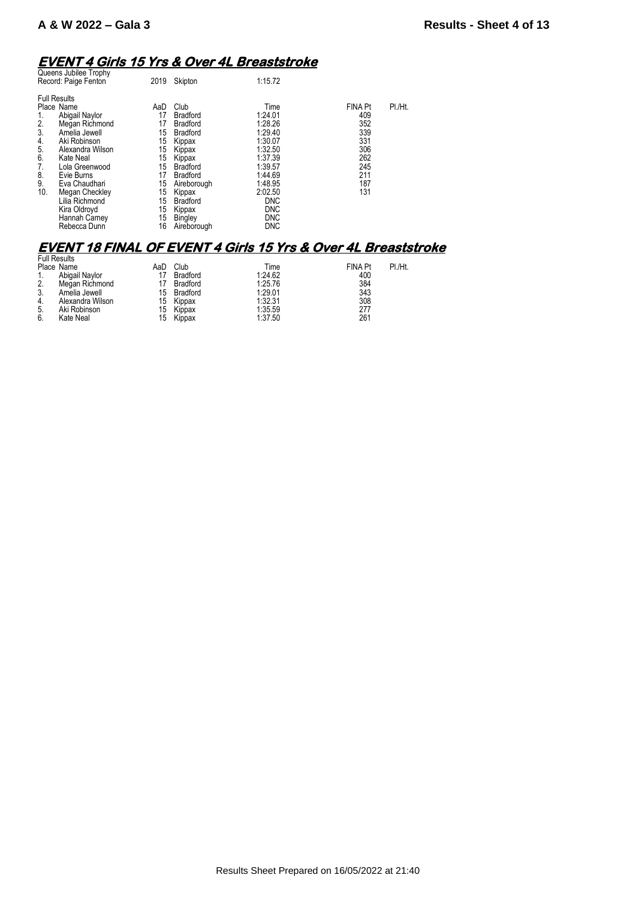### **EVENT 4 Girls 15 Yrs & Over 4L Breaststroke**

| Queens Jubilee Trophy<br>Record: Paige Fenton                                                                                                                                                                                                                                                                                               | 2019                                                                                    | Skipton                                                                                                                                                                                                                  | 1:15.72                                                                                                                                                                    |                                                                                      |         |
|---------------------------------------------------------------------------------------------------------------------------------------------------------------------------------------------------------------------------------------------------------------------------------------------------------------------------------------------|-----------------------------------------------------------------------------------------|--------------------------------------------------------------------------------------------------------------------------------------------------------------------------------------------------------------------------|----------------------------------------------------------------------------------------------------------------------------------------------------------------------------|--------------------------------------------------------------------------------------|---------|
| <b>Full Results</b><br>Place Name<br>Abigail Naylor<br>2.<br>Megan Richmond<br>3.<br>Amelia Jewell<br>4.<br>Aki Robinson<br>5.<br>Alexandra Wilson<br>6.<br>Kate Neal<br>7.<br>Lola Greenwood<br>8.<br>Evie Burns<br>9.<br>Eva Chaudhari<br>10.<br><b>Megan Checkley</b><br>Lilia Richmond<br>Kira Oldroyd<br>Hannah Carney<br>Rebecca Dunn | AaD<br>17<br>17<br>15<br>15<br>15<br>15<br>15<br>17<br>15<br>15<br>15<br>15<br>15<br>16 | Club<br><b>Bradford</b><br><b>Bradford</b><br><b>Bradford</b><br>Kippax<br>Kippax<br>Kippax<br><b>Bradford</b><br><b>Bradford</b><br>Aireborough<br>Kippax<br><b>Bradford</b><br>Kippax<br><b>Bingley</b><br>Aireborough | Time<br>1:24.01<br>1:28.26<br>1:29.40<br>1:30.07<br>1:32.50<br>1:37.39<br>1:39.57<br>1:44.69<br>1:48.95<br>2:02.50<br><b>DNC</b><br><b>DNC</b><br><b>DNC</b><br><b>DNC</b> | <b>FINA Pt</b><br>409<br>352<br>339<br>331<br>306<br>262<br>245<br>211<br>187<br>131 | PI./Ht. |
|                                                                                                                                                                                                                                                                                                                                             |                                                                                         |                                                                                                                                                                                                                          |                                                                                                                                                                            |                                                                                      |         |

#### **EVENT 18 FINAL OF EVENT 4 Girls 15 Yrs & Over 4L Breaststroke**

|    | <b>Full Results</b> |     |                 |         |                |         |
|----|---------------------|-----|-----------------|---------|----------------|---------|
|    | Place Name          | AaD | Club            | Time    | <b>FINA Pt</b> | PI./Ht. |
|    | Abigail Naylor      |     | <b>Bradford</b> | 1:24.62 | 400            |         |
| 2. | Megan Richmond      |     | <b>Bradford</b> | 1:25.76 | 384            |         |
| 3. | Amelia Jewell       | 15  | Bradford        | 1:29.01 | 343            |         |
| 4. | Alexandra Wilson    | 15  | Kippax          | 1:32.31 | 308            |         |
| 5. | Aki Robinson        | 15  | Kippax          | 1:35.59 | 277            |         |
| 6. | Kate Neal           | 15  | Kippax          | 1:37.50 | 261            |         |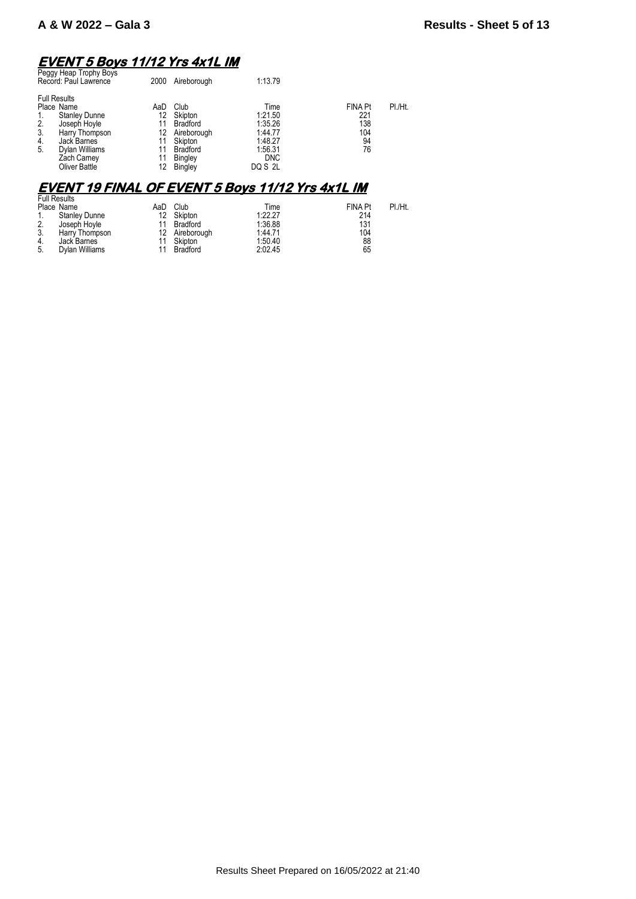# **EVENT 5 Boys 11/12 Yrs 4x1L IM**  Peggy Heap Trophy Boys

|                      | Peggy Heap Trophy Boys<br>Record: Paul Lawrence                                                                                                              | 2000                                          | Aireborough                                                                                                         | 1:13.79                                                                              |                                                 |         |
|----------------------|--------------------------------------------------------------------------------------------------------------------------------------------------------------|-----------------------------------------------|---------------------------------------------------------------------------------------------------------------------|--------------------------------------------------------------------------------------|-------------------------------------------------|---------|
| 2.<br>3.<br>4.<br>5. | <b>Full Results</b><br>Place Name<br><b>Stanley Dunne</b><br>Joseph Hoyle<br>Harry Thompson<br>Jack Barnes<br>Dylan Williams<br>Zach Carney<br>Oliver Battle | AaD<br>12<br>11<br>12<br>11<br>11<br>11<br>12 | Club<br>Skipton<br><b>Bradford</b><br>Aireborough<br>Skipton<br><b>Bradford</b><br><b>Bingley</b><br><b>Bingley</b> | Time<br>1:21.50<br>1:35.26<br>1:44.77<br>1:48.27<br>1:56.31<br><b>DNC</b><br>DQ S 2L | FINA Pt<br>221<br>138<br>104<br>94<br>76        | PI./Ht. |
|                      |                                                                                                                                                              |                                               |                                                                                                                     | <b>EVENT 19 FINAL OF EVENT 5 Boys 11/12 Yrs 4x1L IM</b>                              |                                                 |         |
| 2.<br>3.<br>4.<br>5. | <b>Full Results</b><br>Place Name<br><b>Stanley Dunne</b><br>Joseph Hoyle<br>Harry Thompson<br>Jack Barnes<br>Dylan Williams                                 | AaD<br>12<br>11<br>12<br>11<br>11             | Club<br>Skipton<br><b>Bradford</b><br>Aireborough<br>Skipton<br><b>Bradford</b>                                     | Time<br>1:22.27<br>1:36.88<br>1:44.71<br>1:50.40<br>2:02.45                          | <b>FINA Pt</b><br>214<br>131<br>104<br>88<br>65 | PI./Ht. |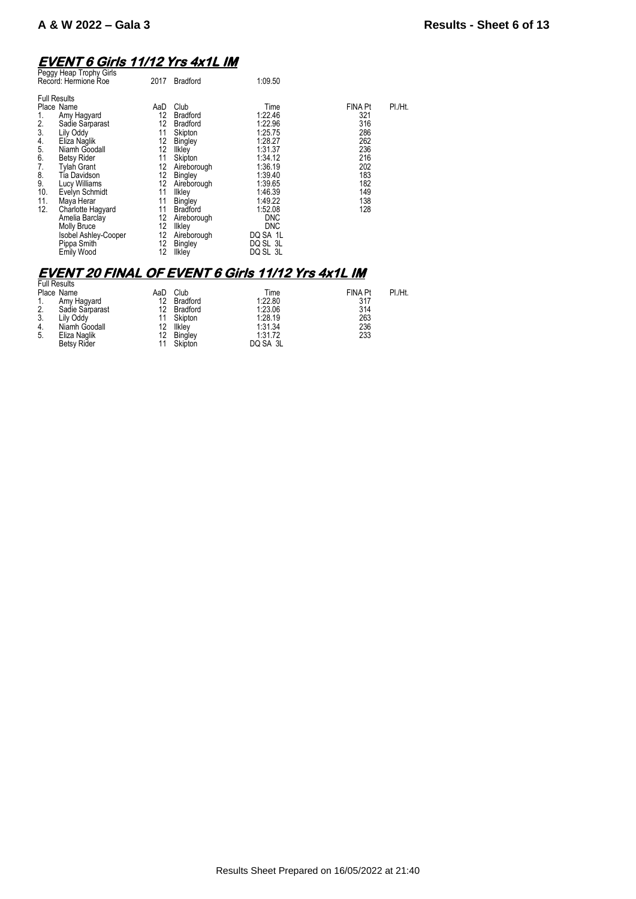### **EVENT 6 Girls 11/12 Yrs 4x1L IM**

| 1:09.50<br>Record: Hermione Roe<br>2017<br><b>Bradford</b>                                                                                                                                                                                                                                                                                                                                                                                                                                                                                                                                                                                                                                                                                                                                                                                                                                                                                                                                                                                                                                 |         |
|--------------------------------------------------------------------------------------------------------------------------------------------------------------------------------------------------------------------------------------------------------------------------------------------------------------------------------------------------------------------------------------------------------------------------------------------------------------------------------------------------------------------------------------------------------------------------------------------------------------------------------------------------------------------------------------------------------------------------------------------------------------------------------------------------------------------------------------------------------------------------------------------------------------------------------------------------------------------------------------------------------------------------------------------------------------------------------------------|---------|
| <b>Full Results</b><br>Club<br><b>FINA Pt</b><br>Place Name<br>Time<br>AaD<br>12<br>1:22.46<br>321<br><b>Bradford</b><br>Amy Hagyard<br>1.<br>2.<br>12<br>316<br>1:22.96<br>Sadie Sarparast<br><b>Bradford</b><br>3.<br>286<br>11<br>1:25.75<br>Lily Oddy<br>Skipton<br>262<br>12<br>4.<br>Eliza Naglik<br>1:28.27<br>Bingley<br>5.<br>236<br>12<br>Niamh Goodall<br>1:31.37<br>Ilkley<br>6.<br>11<br>216<br>1:34.12<br><b>Betsy Rider</b><br>Skipton<br>7.<br>202<br><b>Tylah Grant</b><br>12<br>1:36.19<br>Aireborough<br>8.<br>12<br>183<br>1:39.40<br>Tia Davidson<br>Bingley<br>9.<br>12<br>182<br>1:39.65<br>Lucy Williams<br>Aireborough<br>10.<br>1:46.39<br>149<br>Evelyn Schmidt<br>11<br>Ilkley<br>11.<br>1:49.22<br>138<br>Maya Herar<br>11<br>Bingley<br>12.<br>1:52.08<br>128<br>11<br>Charlotte Hagyard<br><b>Bradford</b><br>12<br>Amelia Barclay<br><b>DNC</b><br>Aireborough<br>12<br>Molly Bruce<br><b>DNC</b><br>Ilkley<br>12<br>DQ SA 1L<br>Isobel Ashley-Cooper<br>Aireborough<br>Pippa Smith<br>12<br>DQ SL 3L<br>Bingley<br>12<br>DQ SL 3L<br>Emily Wood<br>Ilkley | PI./Ht. |

### **EVENT 20 FINAL OF EVENT 6 Girls 11/12 Yrs 4x1L IM**

|    | <b>Full Results</b> |     |          |          |                |         |
|----|---------------------|-----|----------|----------|----------------|---------|
|    | Place Name          | AaD | Club     | Time     | <b>FINA Pt</b> | PI./Ht. |
|    | Amy Hagyard         | 12  | Bradford | 1:22.80  | 317            |         |
| 2. | Sadie Sarparast     | 12  | Bradford | 1:23.06  | 314            |         |
| 3. | Lily Oddy           | 11  | Skipton  | 1:28.19  | 263            |         |
| 4. | Niamh Goodall       | 12  | Ilkley   | 1:31.34  | 236            |         |
| 5. | Eliza Naglik        | 12  | Bingley  | 1:31.72  | 233            |         |
|    | <b>Betsy Rider</b>  |     | Skipton  | DQ SA 3L |                |         |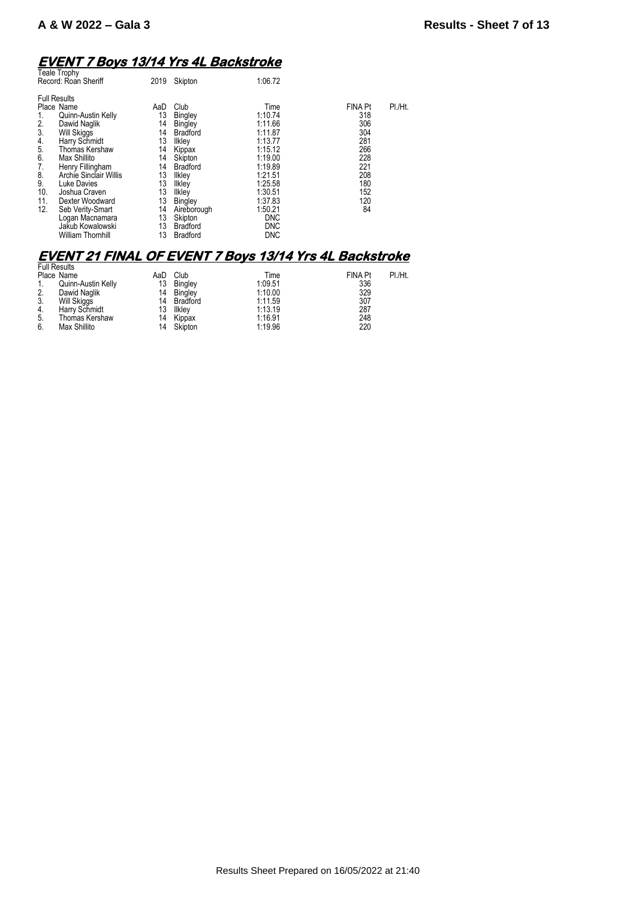# **EVENT 7 Boys 13/14 Yrs 4L Backstroke**  Teale Trophy

| <b>I calc I</b> JUPITY<br>Record: Roan Sheriff                                                                                                                                                                                                                                                                                                                                                                            | 2019                                                                                          | Skipton                                                                                                                                                                                                                | 1:06.72                                                                                                                                                                            |                                                                                                              |  |
|---------------------------------------------------------------------------------------------------------------------------------------------------------------------------------------------------------------------------------------------------------------------------------------------------------------------------------------------------------------------------------------------------------------------------|-----------------------------------------------------------------------------------------------|------------------------------------------------------------------------------------------------------------------------------------------------------------------------------------------------------------------------|------------------------------------------------------------------------------------------------------------------------------------------------------------------------------------|--------------------------------------------------------------------------------------------------------------|--|
| <b>Full Results</b><br>Place Name<br>Quinn-Austin Kelly<br>1.<br>2.<br>Dawid Naglik<br>3.<br><b>Will Skiggs</b><br>Harry Schmidt<br>4.<br>5.<br>Thomas Kershaw<br>6.<br>Max Shillito<br>7.<br>Henry Fillingham<br>8.<br>Archie Sinclair Willis<br>9.<br><b>Luke Davies</b><br>10.<br>Joshua Craven<br>11.<br>Dexter Woodward<br>12.<br>Seb Verity-Smart<br>Logan Macnamara<br>Jakub Kowalowski<br><b>William Thomhill</b> | AaD<br>13<br>14<br>14<br>13<br>14<br>14<br>14<br>13<br>13<br>13<br>13<br>14<br>13<br>13<br>13 | Club<br><b>Bingley</b><br><b>Bingley</b><br><b>Bradford</b><br>Ilkley<br>Kippax<br>Skipton<br><b>Bradford</b><br>Ilkley<br>Ilkley<br>Ilkley<br>Bingley<br>Aireborough<br>Skipton<br><b>Bradford</b><br><b>Bradford</b> | Time<br>1:10.74<br>1:11.66<br>1:11.87<br>1:13.77<br>1:15.12<br>1:19.00<br>1:19.89<br>1:21.51<br>1:25.58<br>1:30.51<br>1:37.83<br>1:50.21<br><b>DNC</b><br><b>DNC</b><br><b>DNC</b> | PI./Ht.<br><b>FINA Pt</b><br>318<br>306<br>304<br>281<br>266<br>228<br>221<br>208<br>180<br>152<br>120<br>84 |  |
|                                                                                                                                                                                                                                                                                                                                                                                                                           |                                                                                               |                                                                                                                                                                                                                        |                                                                                                                                                                                    |                                                                                                              |  |

# **EVENT 21 FINAL OF EVENT 7 Boys 13/14 Yrs 4L Backstroke**  Full Results

| I UII NESUILS |                    |     |                |         |                |         |
|---------------|--------------------|-----|----------------|---------|----------------|---------|
|               | Place Name         | AaD | Club           | Time    | <b>FINA Pt</b> | PI./Ht. |
|               | Quinn-Austin Kelly | 13  | <b>Bingley</b> | 1:09.51 | 336            |         |
| 2.            | Dawid Naglik       |     | 14 Bingley     | 1:10.00 | 329            |         |
| 3.            | Will Skiggs        | 14  | Bradford       | 1:11.59 | 307            |         |
| 4.            | Harry Schmidt      | 13  | Ilkley         | 1:13.19 | 287            |         |
| -5.           | Thomas Kershaw     |     | 14 Kippax      | 1:16.91 | 248            |         |
| 6.            | Max Shillito       | 14  | Skipton        | 1:19.96 | 220            |         |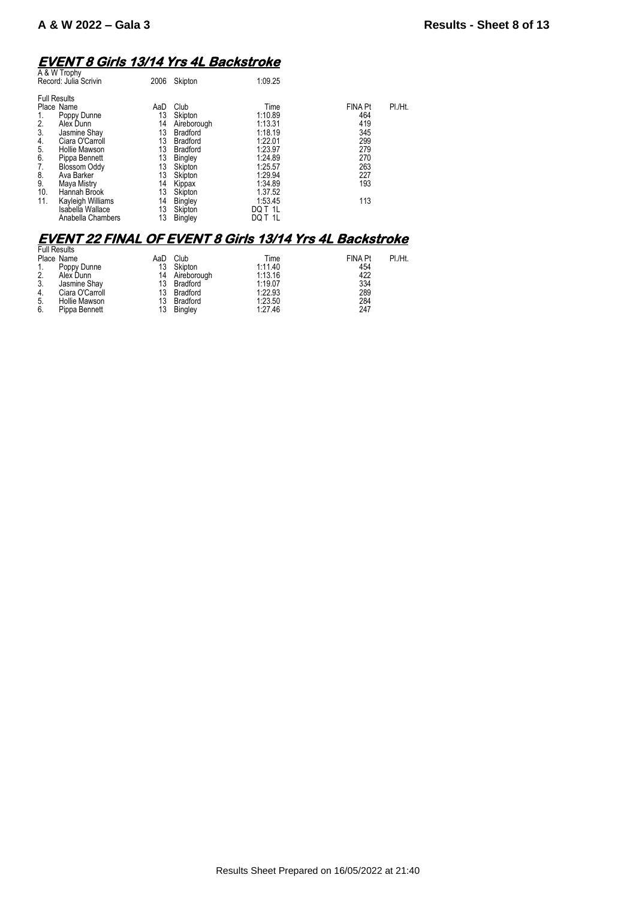#### **EVENT 8 Girls 13/14 Yrs 4L Backstroke**

| A & W Trophy<br>Record: Julia Scrivin                                                                                                                                                                                                                                      | 2006                                                                  | Skipton                                                                                                                                       | 1:09.25                                                                                                            |                                                                                      |         |
|----------------------------------------------------------------------------------------------------------------------------------------------------------------------------------------------------------------------------------------------------------------------------|-----------------------------------------------------------------------|-----------------------------------------------------------------------------------------------------------------------------------------------|--------------------------------------------------------------------------------------------------------------------|--------------------------------------------------------------------------------------|---------|
| <b>Full Results</b><br>Place Name<br>Poppy Dunne<br>1.<br>2.<br>Alex Dunn<br>3.<br>Jasmine Shay<br>Ciara O'Carroll<br>4.<br>5.<br>Hollie Mawson<br>6.<br>Pippa Bennett<br>7.<br><b>Blossom Oddy</b><br>8.<br>Ava Barker<br>9.<br>Maya Mistry<br>10.<br>Hannah Brook<br>11. | AaD<br>13<br>14<br>13<br>13<br>13<br>13<br>13<br>13<br>14<br>13<br>14 | Club<br>Skipton<br>Aireborough<br><b>Bradford</b><br><b>Bradford</b><br><b>Bradford</b><br>Bingley<br>Skipton<br>Skipton<br>Kippax<br>Skipton | Time<br>1:10.89<br>1:13.31<br>1:18.19<br>1:22.01<br>1:23.97<br>1:24.89<br>1:25.57<br>1:29.94<br>1:34.89<br>1.37.52 | <b>FINA Pt</b><br>464<br>419<br>345<br>299<br>279<br>270<br>263<br>227<br>193<br>113 | PI./Ht. |
| Kayleigh Williams<br>Isabella Wallace<br>Anabella Chambers                                                                                                                                                                                                                 | 13<br>13                                                              | Bingley<br>Skipton<br><b>Bingley</b>                                                                                                          | 1:53.45<br>DQ T 1L<br>DQ T 1L                                                                                      |                                                                                      |         |
|                                                                                                                                                                                                                                                                            |                                                                       |                                                                                                                                               |                                                                                                                    |                                                                                      |         |

#### **EVENT 22 FINAL OF EVENT 8 Girls 13/14 Yrs 4L Backstroke**

|    | <b>Full Results</b> |     |                |         |                |         |
|----|---------------------|-----|----------------|---------|----------------|---------|
|    | Place Name          | AaD | Club           | Time    | <b>FINA Pt</b> | PI./Ht. |
|    | Poppy Dunne         |     | 13 Skipton     | 1:11.40 | 454            |         |
| 2. | Alex Dunn           |     | 14 Aireborough | 1:13.16 | 422            |         |
| 3. | Jasmine Shay        | 13  | Bradford       | 1:19.07 | 334            |         |
| 4. | Ciara O'Carroll     | 13  | Bradford       | 1:22.93 | 289            |         |
| 5. | Hollie Mawson       | 13  | Bradford       | 1:23.50 | 284            |         |
| 6. | Pippa Bennett       | 13  | Bingley        | 1:27.46 | 247            |         |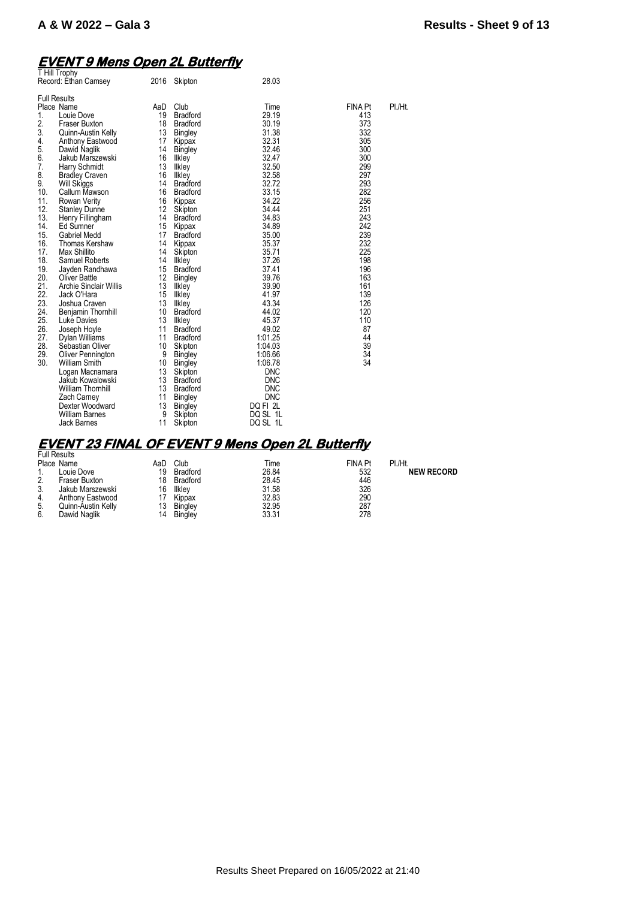### **EVENT 9 Mens Open 2L Butterfly**

| T Hill Trophy<br>Record: Ethan Camsey                                                                                                                                                                                                                                                                                                                                                                                                                                                                                                                                                                                                                                                                                                                                                                                                                                                                                                                                                                | 2016                                                                                                                                                                                                                            | Skipton                                                                                                                                                                                                                                                                                                                                                                                                                                                                                                                                                   | 28.03                                                                                                                                                                                                                                                                                                                                                                                  |                                                                                                                                                                                                                      |         |
|------------------------------------------------------------------------------------------------------------------------------------------------------------------------------------------------------------------------------------------------------------------------------------------------------------------------------------------------------------------------------------------------------------------------------------------------------------------------------------------------------------------------------------------------------------------------------------------------------------------------------------------------------------------------------------------------------------------------------------------------------------------------------------------------------------------------------------------------------------------------------------------------------------------------------------------------------------------------------------------------------|---------------------------------------------------------------------------------------------------------------------------------------------------------------------------------------------------------------------------------|-----------------------------------------------------------------------------------------------------------------------------------------------------------------------------------------------------------------------------------------------------------------------------------------------------------------------------------------------------------------------------------------------------------------------------------------------------------------------------------------------------------------------------------------------------------|----------------------------------------------------------------------------------------------------------------------------------------------------------------------------------------------------------------------------------------------------------------------------------------------------------------------------------------------------------------------------------------|----------------------------------------------------------------------------------------------------------------------------------------------------------------------------------------------------------------------|---------|
| <b>Full Results</b><br>Place Name<br>1.<br>Louie Dove<br>2.<br><b>Fraser Buxton</b><br>3.<br>Quinn-Austin Kelly<br>4.<br>Anthony Eastwood<br>5.<br>Dawid Naglik<br>6.<br>Jakub Marszewski<br>7.<br>Harry Schmidt<br>8.<br><b>Bradley Craven</b><br>9.<br>Will Skiggs<br>10.<br>Callum Mawson<br>11.<br>Rowan Verity<br>12.<br><b>Stanley Dunne</b><br>13.<br>Henry Fillingham<br>14.<br>Ed Sumner<br>15.<br><b>Gabriel Medd</b><br>16.<br>Thomas Kershaw<br>17.<br>Max Shillito<br>18.<br><b>Samuel Roberts</b><br>19.<br>Jayden Randhawa<br>20.<br>Oliver Battle<br>21.<br><b>Archie Sinclair Willis</b><br>22.<br>Jack O'Hara<br>23.<br>Joshua Craven<br>24.<br>Benjamin Thornhill<br>25.<br>Luke Davies<br>26.<br>Joseph Hoyle<br>27.<br>Dylan Williams<br>28.<br>Sebastian Oliver<br>29.<br>Oliver Pennington<br>30.<br><b>William Smith</b><br>Logan Macnamara<br>Jakub Kowalowski<br><b>William Thornhill</b><br>Zach Carney<br>Dexter Woodward<br><b>William Barnes</b><br><b>Jack Barnes</b> | AaD<br>19<br>18<br>13<br>17<br>14<br>16<br>13<br>16<br>14<br>16<br>16<br>12<br>14<br>15<br>17<br>14<br>14<br>14<br>15<br>12<br>13<br>15<br>13<br>10<br>13<br>11<br>11<br>10<br>9<br>10<br>13<br>13<br>13<br>11<br>13<br>9<br>11 | Club<br><b>Bradford</b><br><b>Bradford</b><br><b>Bingley</b><br>Kippax<br><b>Bingley</b><br><b>Ilkley</b><br>Ilkley<br>Ilkley<br><b>Bradford</b><br><b>Bradford</b><br>Kippax<br>Skipton<br><b>Bradford</b><br>Kippax<br><b>Bradford</b><br>Kippax<br>Skipton<br>Ilkley<br><b>Bradford</b><br><b>Bingley</b><br>Ilkley<br>Ilkley<br>Ilkley<br><b>Bradford</b><br>Ilkley<br><b>Bradford</b><br><b>Bradford</b><br>Skipton<br>Bingley<br><b>Bingley</b><br>Skipton<br><b>Bradford</b><br><b>Bradford</b><br>Bingley<br><b>Bingley</b><br>Skipton<br>Skipton | Time<br>29.19<br>30.19<br>31.38<br>32.31<br>32.46<br>32.47<br>32.50<br>32.58<br>32.72<br>33.15<br>34.22<br>34.44<br>34.83<br>34.89<br>35.00<br>35.37<br>35.71<br>37.26<br>37.41<br>39.76<br>39.90<br>41.97<br>43.34<br>44.02<br>45.37<br>49.02<br>1:01.25<br>1:04.03<br>1:06.66<br>1:06.78<br><b>DNC</b><br><b>DNC</b><br><b>DNC</b><br><b>DNC</b><br>DQ FI 2L<br>DQ SL 1L<br>DQ SL 1L | FINA Pt<br>413<br>373<br>332<br>305<br>300<br>300<br>299<br>297<br>293<br>282<br>256<br>251<br>243<br>242<br>239<br>232<br>225<br>198<br>196<br>163<br>161<br>139<br>126<br>120<br>110<br>87<br>44<br>39<br>34<br>34 | PI./Ht. |

# **EVENT 23 FINAL OF EVENT 9 Mens Open 2L Butterfly**  Full Results

|     | Place Name         | AaD | Club            | Time  | <b>FINA Pt</b> | PI./Ht. |
|-----|--------------------|-----|-----------------|-------|----------------|---------|
|     | Louie Dove         | 19  | <b>Bradford</b> | 26.84 | 532            |         |
| 2.  | Fraser Buxton      | 18  | Bradford        | 28.45 | 446            |         |
| 3.  | Jakub Marszewski   | 16  | llkley          | 31.58 | 326            |         |
| 4.  | Anthony Eastwood   |     | Kippax          | 32.83 | 290            |         |
| -5. | Quinn-Austin Kelly | 13  | Bingley         | 32.95 | 287            |         |
| 6.  | Dawid Naglik       | 14  | <b>Bingley</b>  | 33.31 | 278            |         |

Ht.<br>**NEW RECORD**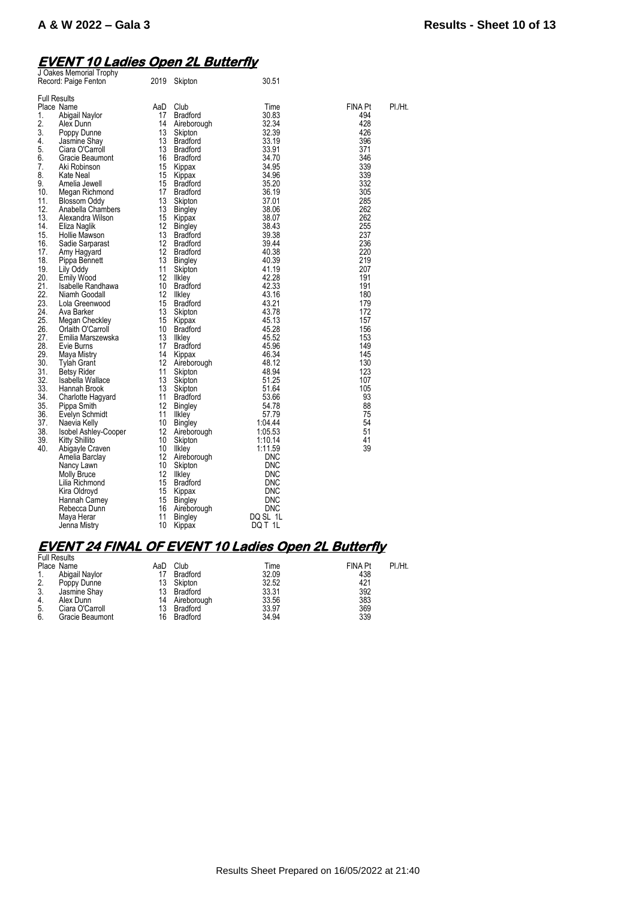### **EVENT 10 Ladies Open 2L Butterfly**

| J Oakes Memorial Trophy<br>Record: Paige Fenton                                                                                                                                                                                                                                                                                                                                                                                                                                                                                                                                                                                                                                                                                                                                                                                                                                                                                                                                                                                                                                                                                                                                                       | 2019                                                                                                                                                                                                                                                                                                                     | Skipton                                                                                                                                                                                                                                                                                                                                                                                                                                                                                                                                                                                                                                                                                                                                         | 30.51                                                                                                                                                                                                                                                                                                                                                                                                                                                                                                  |                                                                                                                                                                                                                                                                                                 |         |
|-------------------------------------------------------------------------------------------------------------------------------------------------------------------------------------------------------------------------------------------------------------------------------------------------------------------------------------------------------------------------------------------------------------------------------------------------------------------------------------------------------------------------------------------------------------------------------------------------------------------------------------------------------------------------------------------------------------------------------------------------------------------------------------------------------------------------------------------------------------------------------------------------------------------------------------------------------------------------------------------------------------------------------------------------------------------------------------------------------------------------------------------------------------------------------------------------------|--------------------------------------------------------------------------------------------------------------------------------------------------------------------------------------------------------------------------------------------------------------------------------------------------------------------------|-------------------------------------------------------------------------------------------------------------------------------------------------------------------------------------------------------------------------------------------------------------------------------------------------------------------------------------------------------------------------------------------------------------------------------------------------------------------------------------------------------------------------------------------------------------------------------------------------------------------------------------------------------------------------------------------------------------------------------------------------|--------------------------------------------------------------------------------------------------------------------------------------------------------------------------------------------------------------------------------------------------------------------------------------------------------------------------------------------------------------------------------------------------------------------------------------------------------------------------------------------------------|-------------------------------------------------------------------------------------------------------------------------------------------------------------------------------------------------------------------------------------------------------------------------------------------------|---------|
| <b>Full Results</b><br>Place Name<br>1.<br>Abigail Naylor<br>2.<br>Alex Dunn<br>3.<br>Poppy Dunne<br>4.<br>Jasmine Shay<br>5.<br>Ciara O'Carroll<br>6.<br>Gracie Beaumont<br>7.<br>Aki Robinson<br>8.<br>Kate Neal<br>9.<br>Amelia Jewell<br>10.<br>Megan Richmond<br>11.<br>Blossom Oddy<br>12.<br>Anabella Chambers<br>13.<br>Alexandra Wilson<br>14.<br>Eliza Naglik<br>15.<br>Hollie Mawson<br>16.<br>Sadie Sarparast<br>17.<br>Amy Hagyard<br>18.<br>Pippa Bennett<br>19.<br>Lily Oddy<br>20.<br><b>Emily Wood</b><br>21.<br>Isabelle Randhawa<br>22.<br>Niamh Goodall<br>23.<br>Lola Greenwood<br>24.<br>Ava Barker<br>25.<br>Megan Checkley<br>26.<br>Orlaith O'Carroll<br>27.<br>Emilia Marszewska<br>28.<br>Evie Burns<br>29.<br>Maya Mistry<br>30.<br>Tylah Grant<br>31.<br>Betsy Rider<br>32.<br>Isabella Wallace<br>33.<br>Hannah Brook<br>34.<br>Charlotte Hagyard<br>35.<br>Pippa Smith<br>36.<br>Evelyn Schmidt<br>37.<br>Naevia Kelly<br>38.<br><b>Isobel Ashley-Cooper</b><br>39.<br>Kitty Shillito<br>40.<br>Abigayle Craven<br>Amelia Barclay<br>Nancy Lawn<br><b>Molly Bruce</b><br>Lilia Richmond<br>Kira Oldroyd<br>Hannah Carney<br>Rebecca Dunn<br>Maya Herar<br>Jenna Mistry | AaD<br>17<br>14<br>13<br>13<br>13<br>16<br>15<br>15<br>15<br>17<br>13<br>13<br>15<br>12<br>13<br>$12 \overline{ }$<br>12<br>13<br>11<br>12<br>10<br>12<br>15<br>13<br>15<br>10<br>13<br>17<br>14<br>12<br>11<br>13<br>13<br>11<br>12<br>11<br>10<br>12<br>10<br>10<br>12<br>10<br>12<br>15<br>15<br>15<br>16<br>11<br>10 | Club<br><b>Bradford</b><br>Aireborough<br>Skipton<br><b>Bradford</b><br><b>Bradford</b><br><b>Bradford</b><br>Kippax<br>Kippax<br><b>Bradford</b><br><b>Bradford</b><br>Skipton<br><b>Bingley</b><br>Kippax<br><b>Bingley</b><br><b>Bradford</b><br><b>Bradford</b><br><b>Bradford</b><br>Bingley<br>Skipton<br>Ilkley<br><b>Bradford</b><br>Ilkley<br><b>Bradford</b><br>Skipton<br>Kippax<br><b>Bradford</b><br><b>Ilkley</b><br><b>Bradford</b><br>Kippax<br>Aireborough<br>Skipton<br>Skipton<br>Skipton<br><b>Bradford</b><br><b>Bingley</b><br>Ilkley<br><b>Bingley</b><br>Aireborough<br>Skipton<br>likley<br>Aireborough<br>Skipton<br>Ilkley<br><b>Bradford</b><br>Kippax<br><b>Bingley</b><br>Aireborough<br><b>Bingley</b><br>Kippax | Time<br>30.83<br>32.34<br>32.39<br>33.19<br>33.91<br>34.70<br>34.95<br>34.96<br>35.20<br>36.19<br>37.01<br>38.06<br>38.07<br>38.43<br>39.38<br>39.44<br>40.38<br>40.39<br>41.19<br>42.28<br>42.33<br>43.16<br>43.21<br>43.78<br>45.13<br>45.28<br>45.52<br>45.96<br>46.34<br>48.12<br>48.94<br>51.25<br>51.64<br>53.66<br>54.78<br>57.79<br>1:04.44<br>1:05.53<br>1:10.14<br>1:11.59<br><b>DNC</b><br><b>DNC</b><br><b>DNC</b><br>DNC<br><b>DNC</b><br><b>DNC</b><br><b>DNC</b><br>DQ SL 1L<br>DQ T 1L | <b>FINA Pt</b><br>494<br>428<br>426<br>396<br>371<br>346<br>339<br>339<br>332<br>305<br>285<br>262<br>262<br>255<br>237<br>236<br>220<br>219<br>207<br>191<br>191<br>180<br>179<br>172<br>157<br>156<br>153<br>149<br>145<br>130<br>123<br>107<br>105<br>93<br>88<br>75<br>54<br>51<br>41<br>39 | PI./Ht. |

# **EVENT 24 FINAL OF EVENT 10 Ladies Open 2L Butterfly**  Full Results

| I UII NESUILS |                 |     |                 |       |                |         |
|---------------|-----------------|-----|-----------------|-------|----------------|---------|
|               | Place Name      | AaD | Club            | Time  | <b>FINA Pt</b> | PI./Ht. |
|               | Abigail Naylor  |     | <b>Bradford</b> | 32.09 | 438            |         |
| 2.            | Poppy Dunne     | 13  | Skipton         | 32.52 | 421            |         |
| 3.            | Jasmine Shay    | 13  | Bradford        | 33.31 | 392            |         |
| 4.            | Alex Dunn       | 14  | Aireborough     | 33.56 | 383            |         |
| 5.            | Ciara O'Carroll | 13  | Bradford        | 33.97 | 369            |         |
| 6.            | Gracie Beaumont | 16  | Bradford        | 34.94 | 339            |         |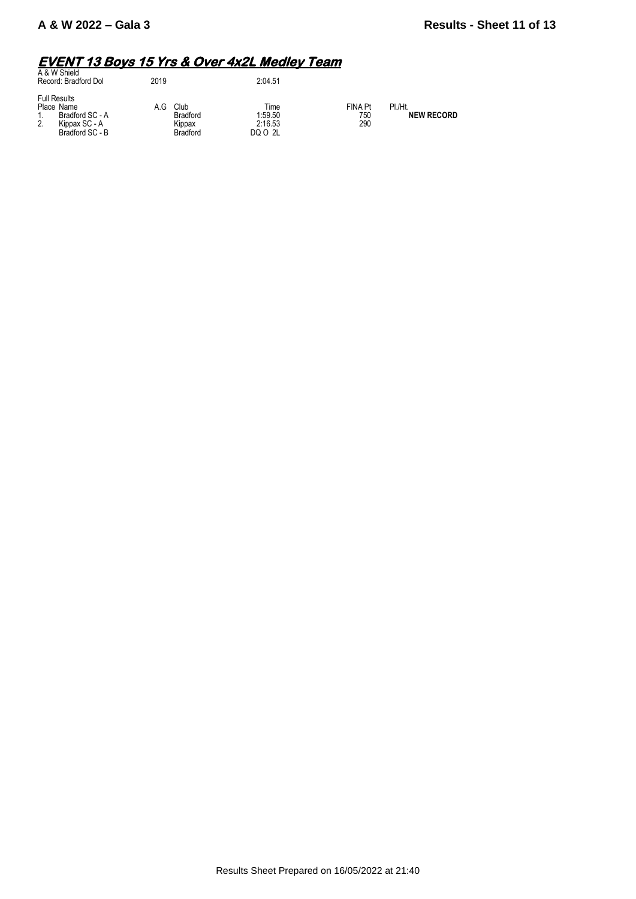# **EVENT 13 Boys 15 Yrs & Over 4x2L Medley Team**  A & W Shield

| A & W Shield<br>Record: Bradford Dol                                                           | 2019 |                                                      | 2:04.51                               |                              |                              |
|------------------------------------------------------------------------------------------------|------|------------------------------------------------------|---------------------------------------|------------------------------|------------------------------|
| <b>Full Results</b><br>Place Name<br>Bradford SC - A<br>2.<br>Kippax SC - A<br>Bradford SC - B | A G  | Club<br><b>Bradford</b><br>Kippax<br><b>Bradford</b> | Time<br>1:59.50<br>2:16.53<br>DQ O 2L | <b>FINA Pt</b><br>750<br>290 | PI./Ht.<br><b>NEW RECORD</b> |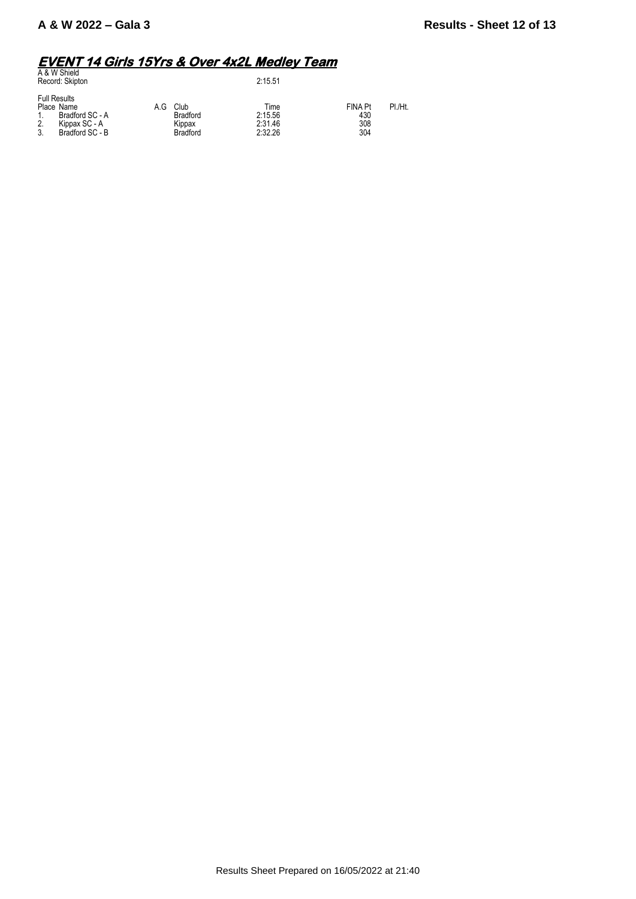# **EVENT 14 Girls 15Yrs & Over 4x2L Medley Team**  A & W Shield

| A & W Shield<br>Record: Skipton                                                                     |     |                                               | 2:15.51                               |                                     |         |
|-----------------------------------------------------------------------------------------------------|-----|-----------------------------------------------|---------------------------------------|-------------------------------------|---------|
| <b>Full Results</b><br>Place Name<br>Bradford SC - A<br>2.<br>Kippax SC - A<br>C<br>Bradford SC - B | A.G | Club<br><b>Bradford</b><br>Kippax<br>Bradford | Time<br>2:15.56<br>2:31.46<br>2:32.26 | <b>FINA Pt</b><br>430<br>308<br>304 | PI./Ht. |